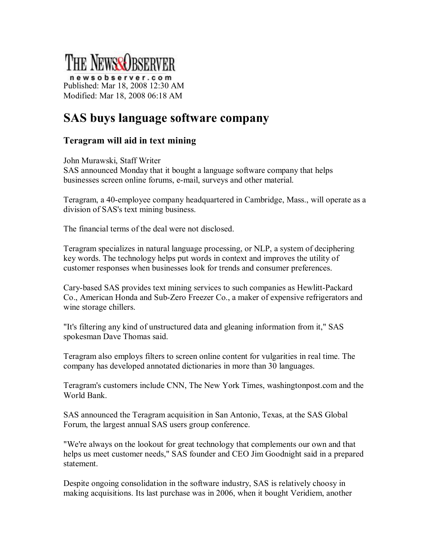

newsobserver.com Published: Mar 18, 2008 12:30 AM Modified: Mar 18, 2008 06:18 AM

## **SAS buys language software company**

## **Teragram will aid in text mining**

John Murawski, Staff Writer

SAS announced Monday that it bought a language software company that helps businesses screen online forums, e-mail, surveys and other material.

Teragram, a 40employee company headquartered in Cambridge, Mass., will operate as a division of SAS's text mining business.

The financial terms of the deal were not disclosed.

Teragram specializes in natural language processing, or NLP, a system of deciphering key words. The technology helps put words in context and improves the utility of customer responses when businesses look for trends and consumer preferences.

Cary-based SAS provides text mining services to such companies as Hewlitt-Packard Co., American Honda and Sub-Zero Freezer Co., a maker of expensive refrigerators and wine storage chillers.

"It's filtering any kind of unstructured data and gleaning information from it," SAS spokesman Dave Thomas said.

Teragram also employs filters to screen online content for vulgarities in real time. The company has developed annotated dictionaries in more than 30 languages.

Teragram's customers include CNN, The New York Times, washingtonpost.com and the World Bank.

SAS announced the Teragram acquisition in San Antonio, Texas, at the SAS Global Forum, the largest annual SAS users group conference.

"We're always on the lookout for great technology that complements our own and that helps us meet customer needs," SAS founder and CEO Jim Goodnight said in a prepared statement.

Despite ongoing consolidation in the software industry, SAS is relatively choosy in making acquisitions. Its last purchase was in 2006, when it bought Veridiem, another